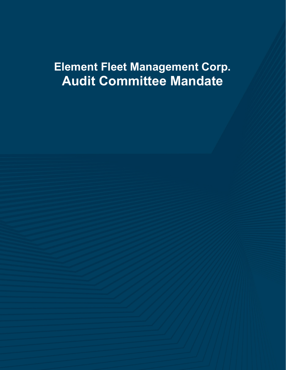# **Element Fleet Management Corp. Audit Committee Mandate**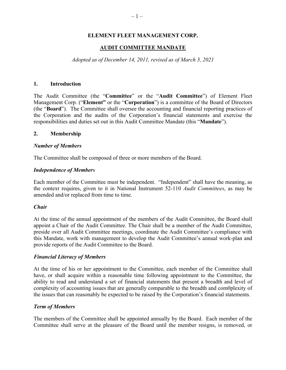## **ELEMENT FLEET MANAGEMENT CORP.**

#### **AUDIT COMMITTEE MANDATE**

*Adopted as of December 14, 2011, revised as of March 3, 2021* 

#### **1. Introduction**

The Audit Committee (the "**Committee**" or the "**Audit Committee**") of Element Fleet Management Corp. ("**Element"** or the "**Corporation**") is a committee of the Board of Directors (the "**Board**"). The Committee shall oversee the accounting and financial reporting practices of the Corporation and the audits of the Corporation's financial statements and exercise the responsibilities and duties set out in this Audit Committee Mandate (this "**Mandate**").

#### **2. Membership**

#### *Number of Members*

The Committee shall be composed of three or more members of the Board.

#### *Independence of Member*s

Each member of the Committee must be independent. "Independent" shall have the meaning, as the context requires, given to it in National Instrument 52-110 *Audit Committees*, as may be amended and/or replaced from time to time.

#### *Chair*

At the time of the annual appointment of the members of the Audit Committee, the Board shall appoint a Chair of the Audit Committee. The Chair shall be a member of the Audit Committee, preside over all Audit Committee meetings, coordinate the Audit Committee's compliance with this Mandate, work with management to develop the Audit Committee's annual work-plan and provide reports of the Audit Committee to the Board.

## *Financial Literacy of Members*

At the time of his or her appointment to the Committee, each member of the Committee shall have, or shall acquire within a reasonable time following appointment to the Committee, the ability to read and understand a set of financial statements that present a breadth and level of complexity of accounting issues that are generally comparable to the breadth and com0plexity of the issues that can reasonably be expected to be raised by the Corporation's financial statements.

## *Term of Members*

The members of the Committee shall be appointed annually by the Board. Each member of the Committee shall serve at the pleasure of the Board until the member resigns, is removed, or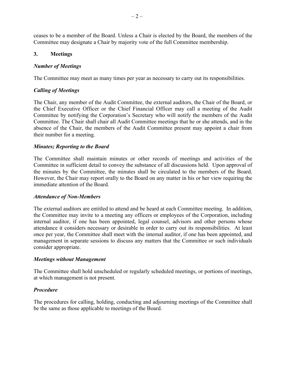ceases to be a member of the Board. Unless a Chair is elected by the Board, the members of the Committee may designate a Chair by majority vote of the full Committee membership.

## **3. Meetings**

## *Number of Meetings*

The Committee may meet as many times per year as necessary to carry out its responsibilities.

## *Calling of Meetings*

The Chair, any member of the Audit Committee, the external auditors, the Chair of the Board, or the Chief Executive Officer or the Chief Financial Officer may call a meeting of the Audit Committee by notifying the Corporation's Secretary who will notify the members of the Audit Committee. The Chair shall chair all Audit Committee meetings that he or she attends, and in the absence of the Chair, the members of the Audit Committee present may appoint a chair from their number for a meeting.

## *Minutes; Reporting to the Board*

The Committee shall maintain minutes or other records of meetings and activities of the Committee in sufficient detail to convey the substance of all discussions held. Upon approval of the minutes by the Committee, the minutes shall be circulated to the members of the Board. However, the Chair may report orally to the Board on any matter in his or her view requiring the immediate attention of the Board.

#### *Attendance of Non-Members*

The external auditors are entitled to attend and be heard at each Committee meeting. In addition, the Committee may invite to a meeting any officers or employees of the Corporation, including internal auditor, if one has been appointed, legal counsel, advisors and other persons whose attendance it considers necessary or desirable in order to carry out its responsibilities. At least once per year, the Committee shall meet with the internal auditor, if one has been appointed, and management in separate sessions to discuss any matters that the Committee or such individuals consider appropriate.

#### *Meetings without Management*

The Committee shall hold unscheduled or regularly scheduled meetings, or portions of meetings, at which management is not present.

## *Procedure*

The procedures for calling, holding, conducting and adjourning meetings of the Committee shall be the same as those applicable to meetings of the Board.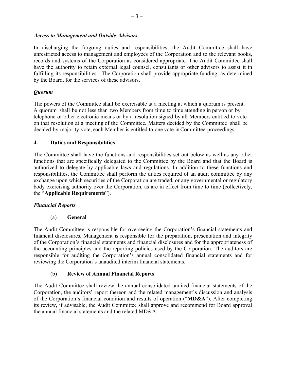## *Access to Management and Outside Advisors*

In discharging the forgoing duties and responsibilities, the Audit Committee shall have unrestricted access to management and employees of the Corporation and to the relevant books, records and systems of the Corporation as considered appropriate. The Audit Committee shall have the authority to retain external legal counsel, consultants or other advisors to assist it in fulfilling its responsibilities. The Corporation shall provide appropriate funding, as determined by the Board, for the services of these advisors.

## *Quorum*

The powers of the Committee shall be exercisable at a meeting at which a quorum is present. A quorum shall be not less than two Members from time to time attending in person or by telephone or other electronic means or by a resolution signed by all Members entitled to vote on that resolution at a meeting of the Committee. Matters decided by the Committee shall be decided by majority vote, each Member is entitled to one vote in Committee proceedings.

## **4. Duties and Responsibilities**

The Committee shall have the functions and responsibilities set out below as well as any other functions that are specifically delegated to the Committee by the Board and that the Board is authorized to delegate by applicable laws and regulations. In addition to these functions and responsibilities, the Committee shall perform the duties required of an audit committee by any exchange upon which securities of the Corporation are traded, or any governmental or regulatory body exercising authority over the Corporation, as are in effect from time to time (collectively, the "**Applicable Requirements**").

## *Financial Reports*

(a) **General** 

The Audit Committee is responsible for overseeing the Corporation's financial statements and financial disclosures. Management is responsible for the preparation, presentation and integrity of the Corporation's financial statements and financial disclosures and for the appropriateness of the accounting principles and the reporting policies used by the Corporation. The auditors are responsible for auditing the Corporation's annual consolidated financial statements and for reviewing the Corporation's unaudited interim financial statements.

## (b) **Review of Annual Financial Reports**

The Audit Committee shall review the annual consolidated audited financial statements of the Corporation, the auditors' report thereon and the related management's discussion and analysis of the Corporation's financial condition and results of operation ("**MD&A**"). After completing its review, if advisable, the Audit Committee shall approve and recommend for Board approval the annual financial statements and the related MD&A.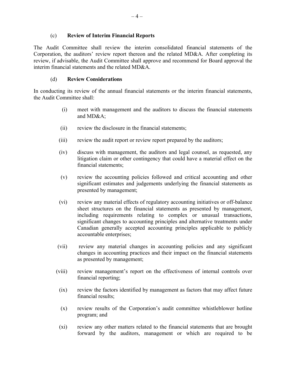## (c) **Review of Interim Financial Reports**

The Audit Committee shall review the interim consolidated financial statements of the Corporation, the auditors' review report thereon and the related MD&A. After completing its review, if advisable, the Audit Committee shall approve and recommend for Board approval the interim financial statements and the related MD&A.

## (d) **Review Considerations**

In conducting its review of the annual financial statements or the interim financial statements, the Audit Committee shall:

- (i) meet with management and the auditors to discuss the financial statements and MD&A;
- (ii) review the disclosure in the financial statements;
- (iii) review the audit report or review report prepared by the auditors;
- (iv) discuss with management, the auditors and legal counsel, as requested, any litigation claim or other contingency that could have a material effect on the financial statements;
- (v) review the accounting policies followed and critical accounting and other significant estimates and judgements underlying the financial statements as presented by management;
- (vi) review any material effects of regulatory accounting initiatives or off-balance sheet structures on the financial statements as presented by management, including requirements relating to complex or unusual transactions, significant changes to accounting principles and alternative treatments under Canadian generally accepted accounting principles applicable to publicly accountable enterprises;
- (vii) review any material changes in accounting policies and any significant changes in accounting practices and their impact on the financial statements as presented by management;
- (viii) review management's report on the effectiveness of internal controls over financial reporting;
- (ix) review the factors identified by management as factors that may affect future financial results;
- (x) review results of the Corporation's audit committee whistleblower hotline program; and
- (xi) review any other matters related to the financial statements that are brought forward by the auditors, management or which are required to be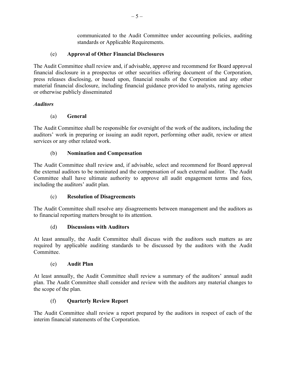communicated to the Audit Committee under accounting policies, auditing standards or Applicable Requirements.

## (e) **Approval of Other Financial Disclosures**

The Audit Committee shall review and, if advisable, approve and recommend for Board approval financial disclosure in a prospectus or other securities offering document of the Corporation, press releases disclosing, or based upon, financial results of the Corporation and any other material financial disclosure, including financial guidance provided to analysts, rating agencies or otherwise publicly disseminated

## *Auditors*

## (a) **General**

The Audit Committee shall be responsible for oversight of the work of the auditors, including the auditors' work in preparing or issuing an audit report, performing other audit, review or attest services or any other related work.

## (b) **Nomination and Compensation**

The Audit Committee shall review and, if advisable, select and recommend for Board approval the external auditors to be nominated and the compensation of such external auditor. The Audit Committee shall have ultimate authority to approve all audit engagement terms and fees, including the auditors' audit plan.

## (c) **Resolution of Disagreements**

The Audit Committee shall resolve any disagreements between management and the auditors as to financial reporting matters brought to its attention.

## (d) **Discussions with Auditors**

At least annually, the Audit Committee shall discuss with the auditors such matters as are required by applicable auditing standards to be discussed by the auditors with the Audit Committee.

## (e) **Audit Plan**

At least annually, the Audit Committee shall review a summary of the auditors' annual audit plan. The Audit Committee shall consider and review with the auditors any material changes to the scope of the plan.

## (f) **Quarterly Review Report**

The Audit Committee shall review a report prepared by the auditors in respect of each of the interim financial statements of the Corporation.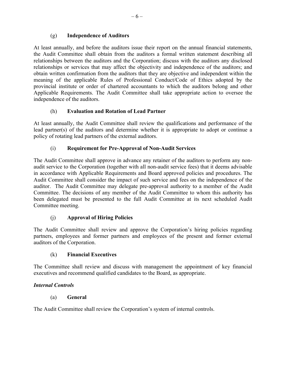# (g) **Independence of Auditors**

At least annually, and before the auditors issue their report on the annual financial statements, the Audit Committee shall obtain from the auditors a formal written statement describing all relationships between the auditors and the Corporation; discuss with the auditors any disclosed relationships or services that may affect the objectivity and independence of the auditors; and obtain written confirmation from the auditors that they are objective and independent within the meaning of the applicable Rules of Professional Conduct/Code of Ethics adopted by the provincial institute or order of chartered accountants to which the auditors belong and other Applicable Requirements. The Audit Committee shall take appropriate action to oversee the independence of the auditors.

# (h) **Evaluation and Rotation of Lead Partner**

At least annually, the Audit Committee shall review the qualifications and performance of the lead partner(s) of the auditors and determine whether it is appropriate to adopt or continue a policy of rotating lead partners of the external auditors.

# (i) **Requirement for Pre-Approval of Non-Audit Services**

The Audit Committee shall approve in advance any retainer of the auditors to perform any nonaudit service to the Corporation (together with all non-audit service fees) that it deems advisable in accordance with Applicable Requirements and Board approved policies and procedures. The Audit Committee shall consider the impact of such service and fees on the independence of the auditor. The Audit Committee may delegate pre-approval authority to a member of the Audit Committee. The decisions of any member of the Audit Committee to whom this authority has been delegated must be presented to the full Audit Committee at its next scheduled Audit Committee meeting.

# (j) **Approval of Hiring Policies**

The Audit Committee shall review and approve the Corporation's hiring policies regarding partners, employees and former partners and employees of the present and former external auditors of the Corporation.

## (k) **Financial Executives**

The Committee shall review and discuss with management the appointment of key financial executives and recommend qualified candidates to the Board, as appropriate.

## *Internal Controls*

## (a) **General**

The Audit Committee shall review the Corporation's system of internal controls.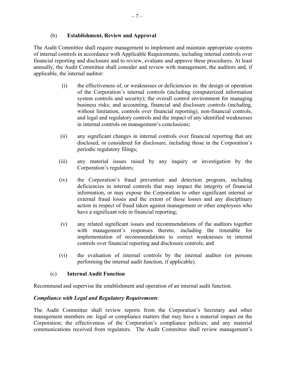## (b) **Establishment, Review and Approval**

The Audit Committee shall require management to implement and maintain appropriate systems of internal controls in accordance with Applicable Requirements, including internal controls over financial reporting and disclosure and to review, evaluate and approve these procedures. At least annually, the Audit Committee shall consider and review with management, the auditors and, if applicable, the internal auditor:

- (i) the effectiveness of, or weaknesses or deficiencies in: the design or operation of the Corporation's internal controls (including computerized information system controls and security); the overall control environment for managing business risks; and accounting, financial and disclosure controls (including, without limitation, controls over financial reporting), non-financial controls, and legal and regulatory controls and the impact of any identified weaknesses in internal controls on management's conclusions;
- (ii) any significant changes in internal controls over financial reporting that are disclosed, or considered for disclosure, including those in the Corporation's periodic regulatory filings;
- (iii) any material issues raised by any inquiry or investigation by the Corporation's regulators;
- (iv) the Corporation's fraud prevention and detection program, including deficiencies in internal controls that may impact the integrity of financial information, or may expose the Corporation to other significant internal or external fraud losses and the extent of those losses and any disciplinary action in respect of fraud taken against management or other employees who have a significant role in financial reporting;
- (v) any related significant issues and recommendations of the auditors together with management's responses thereto, including the timetable for implementation of recommendations to correct weaknesses in internal controls over financial reporting and disclosure controls; and
- (vi) the evaluation of internal controls by the internal auditor (or persons performing the internal audit function, if applicable).

## (c) **Internal Audit Function**

Recommend and supervise the establishment and operation of an internal audit function.

## *Compliance with Legal and Regulatory Requirements*

The Audit Committee shall review reports from the Corporation's Secretary and other management members on: legal or compliance matters that may have a material impact on the Corporation; the effectiveness of the Corporation's compliance policies; and any material communications received from regulators. The Audit Committee shall review management's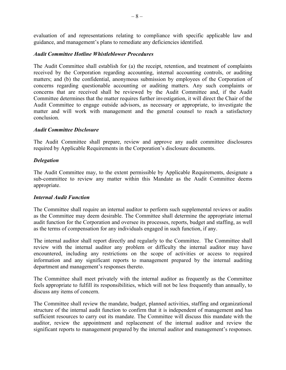evaluation of and representations relating to compliance with specific applicable law and guidance, and management's plans to remediate any deficiencies identified.

#### *Audit Committee Hotline Whistleblower Procedures*

The Audit Committee shall establish for (a) the receipt, retention, and treatment of complaints received by the Corporation regarding accounting, internal accounting controls, or auditing matters; and (b) the confidential, anonymous submission by employees of the Corporation of concerns regarding questionable accounting or auditing matters. Any such complaints or concerns that are received shall be reviewed by the Audit Committee and, if the Audit Committee determines that the matter requires further investigation, it will direct the Chair of the Audit Committee to engage outside advisors, as necessary or appropriate, to investigate the matter and will work with management and the general counsel to reach a satisfactory conclusion.

#### *Audit Committee Disclosure*

The Audit Committee shall prepare, review and approve any audit committee disclosures required by Applicable Requirements in the Corporation's disclosure documents.

#### *Delegation*

The Audit Committee may, to the extent permissible by Applicable Requirements, designate a sub-committee to review any matter within this Mandate as the Audit Committee deems appropriate.

## *Internal Audit Function*

The Committee shall require an internal auditor to perform such supplemental reviews or audits as the Committee may deem desirable. The Committee shall determine the appropriate internal audit function for the Corporation and oversee its processes, reports, budget and staffing, as well as the terms of compensation for any individuals engaged in such function, if any.

The internal auditor shall report directly and regularly to the Committee. The Committee shall review with the internal auditor any problem or difficulty the internal auditor may have encountered, including any restrictions on the scope of activities or access to required information and any significant reports to management prepared by the internal auditing department and management's responses thereto.

The Committee shall meet privately with the internal auditor as frequently as the Committee feels appropriate to fulfill its responsibilities, which will not be less frequently than annually, to discuss any items of concern.

The Committee shall review the mandate, budget, planned activities, staffing and organizational structure of the internal audit function to confirm that it is independent of management and has sufficient resources to carry out its mandate. The Committee will discuss this mandate with the auditor, review the appointment and replacement of the internal auditor and review the significant reports to management prepared by the internal auditor and management's responses.